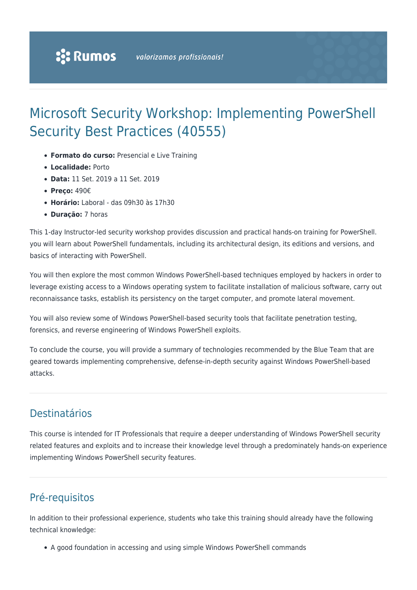# Microsoft Security Workshop: Implementing PowerShell Security Best Practices (40555)

- **Formato do curso:** Presencial e Live Training
- **Localidade:** Porto
- **Data:** 11 Set. 2019 a 11 Set. 2019
- **Preço:** 490€
- **Horário:** Laboral das 09h30 às 17h30
- **Duração:** 7 horas

This 1-day Instructor-led security workshop provides discussion and practical hands-on training for PowerShell. you will learn about PowerShell fundamentals, including its architectural design, its editions and versions, and basics of interacting with PowerShell.

You will then explore the most common Windows PowerShell-based techniques employed by hackers in order to leverage existing access to a Windows operating system to facilitate installation of malicious software, carry out reconnaissance tasks, establish its persistency on the target computer, and promote lateral movement.

You will also review some of Windows PowerShell-based security tools that facilitate penetration testing, forensics, and reverse engineering of Windows PowerShell exploits.

To conclude the course, you will provide a summary of technologies recommended by the Blue Team that are geared towards implementing comprehensive, defense-in-depth security against Windows PowerShell-based attacks.

### Destinatários

This course is intended for IT Professionals that require a deeper understanding of Windows PowerShell security related features and exploits and to increase their knowledge level through a predominately hands-on experience implementing Windows PowerShell security features.

# Pré-requisitos

In addition to their professional experience, students who take this training should already have the following technical knowledge:

A good foundation in accessing and using simple Windows PowerShell commands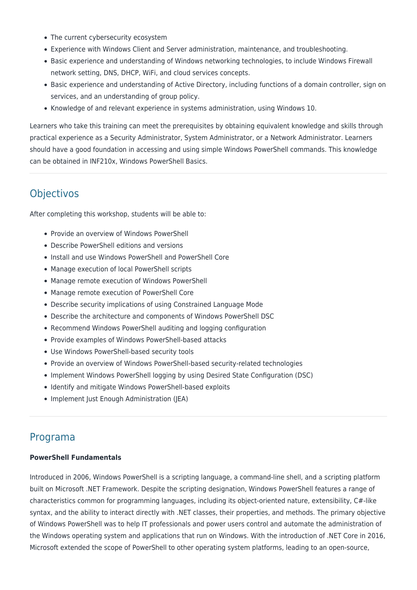- The current cybersecurity ecosystem
- Experience with Windows Client and Server administration, maintenance, and troubleshooting.
- Basic experience and understanding of Windows networking technologies, to include Windows Firewall network setting, DNS, DHCP, WiFi, and cloud services concepts.
- Basic experience and understanding of Active Directory, including functions of a domain controller, sign on services, and an understanding of group policy.
- Knowledge of and relevant experience in systems administration, using Windows 10.

Learners who take this training can meet the prerequisites by obtaining equivalent knowledge and skills through practical experience as a Security Administrator, System Administrator, or a Network Administrator. Learners should have a good foundation in accessing and using simple Windows PowerShell commands. This knowledge can be obtained in INF210x, Windows PowerShell Basics.

## **Objectivos**

After completing this workshop, students will be able to:

- Provide an overview of Windows PowerShell
- Describe PowerShell editions and versions
- Install and use Windows PowerShell and PowerShell Core
- Manage execution of local PowerShell scripts
- Manage remote execution of Windows PowerShell
- Manage remote execution of PowerShell Core
- Describe security implications of using Constrained Language Mode
- Describe the architecture and components of Windows PowerShell DSC
- Recommend Windows PowerShell auditing and logging configuration
- Provide examples of Windows PowerShell-based attacks
- Use Windows PowerShell-based security tools
- Provide an overview of Windows PowerShell-based security-related technologies
- Implement Windows PowerShell logging by using Desired State Configuration (DSC)
- Identify and mitigate Windows PowerShell-based exploits
- Implement Just Enough Administration (JEA)

### Programa

#### **PowerShell Fundamentals**

Introduced in 2006, Windows PowerShell is a scripting language, a command-line shell, and a scripting platform built on Microsoft .NET Framework. Despite the scripting designation, Windows PowerShell features a range of characteristics common for programming languages, including its object-oriented nature, extensibility, C#-like syntax, and the ability to interact directly with .NET classes, their properties, and methods. The primary objective of Windows PowerShell was to help IT professionals and power users control and automate the administration of the Windows operating system and applications that run on Windows. With the introduction of .NET Core in 2016, Microsoft extended the scope of PowerShell to other operating system platforms, leading to an open-source,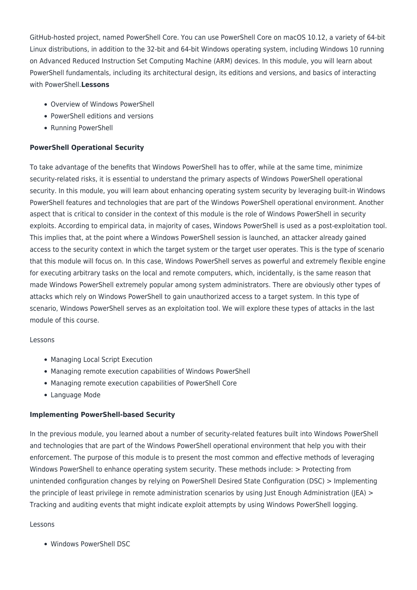GitHub-hosted project, named PowerShell Core. You can use PowerShell Core on macOS 10.12, a variety of 64-bit Linux distributions, in addition to the 32-bit and 64-bit Windows operating system, including Windows 10 running on Advanced Reduced Instruction Set Computing Machine (ARM) devices. In this module, you will learn about PowerShell fundamentals, including its architectural design, its editions and versions, and basics of interacting with PowerShell.**Lessons**

- Overview of Windows PowerShell
- PowerShell editions and versions
- Running PowerShell

#### **PowerShell Operational Security**

To take advantage of the benefits that Windows PowerShell has to offer, while at the same time, minimize security-related risks, it is essential to understand the primary aspects of Windows PowerShell operational security. In this module, you will learn about enhancing operating system security by leveraging built-in Windows PowerShell features and technologies that are part of the Windows PowerShell operational environment. Another aspect that is critical to consider in the context of this module is the role of Windows PowerShell in security exploits. According to empirical data, in majority of cases, Windows PowerShell is used as a post-exploitation tool. This implies that, at the point where a Windows PowerShell session is launched, an attacker already gained access to the security context in which the target system or the target user operates. This is the type of scenario that this module will focus on. In this case, Windows PowerShell serves as powerful and extremely flexible engine for executing arbitrary tasks on the local and remote computers, which, incidentally, is the same reason that made Windows PowerShell extremely popular among system administrators. There are obviously other types of attacks which rely on Windows PowerShell to gain unauthorized access to a target system. In this type of scenario, Windows PowerShell serves as an exploitation tool. We will explore these types of attacks in the last module of this course.

#### Lessons

- Managing Local Script Execution
- Managing remote execution capabilities of Windows PowerShell
- Managing remote execution capabilities of PowerShell Core
- Language Mode

#### **Implementing PowerShell-based Security**

In the previous module, you learned about a number of security-related features built into Windows PowerShell and technologies that are part of the Windows PowerShell operational environment that help you with their enforcement. The purpose of this module is to present the most common and effective methods of leveraging Windows PowerShell to enhance operating system security. These methods include: > Protecting from unintended configuration changes by relying on PowerShell Desired State Configuration (DSC) > Implementing the principle of least privilege in remote administration scenarios by using Just Enough Administration (JEA) > Tracking and auditing events that might indicate exploit attempts by using Windows PowerShell logging.

#### Lessons

Windows PowerShell DSC